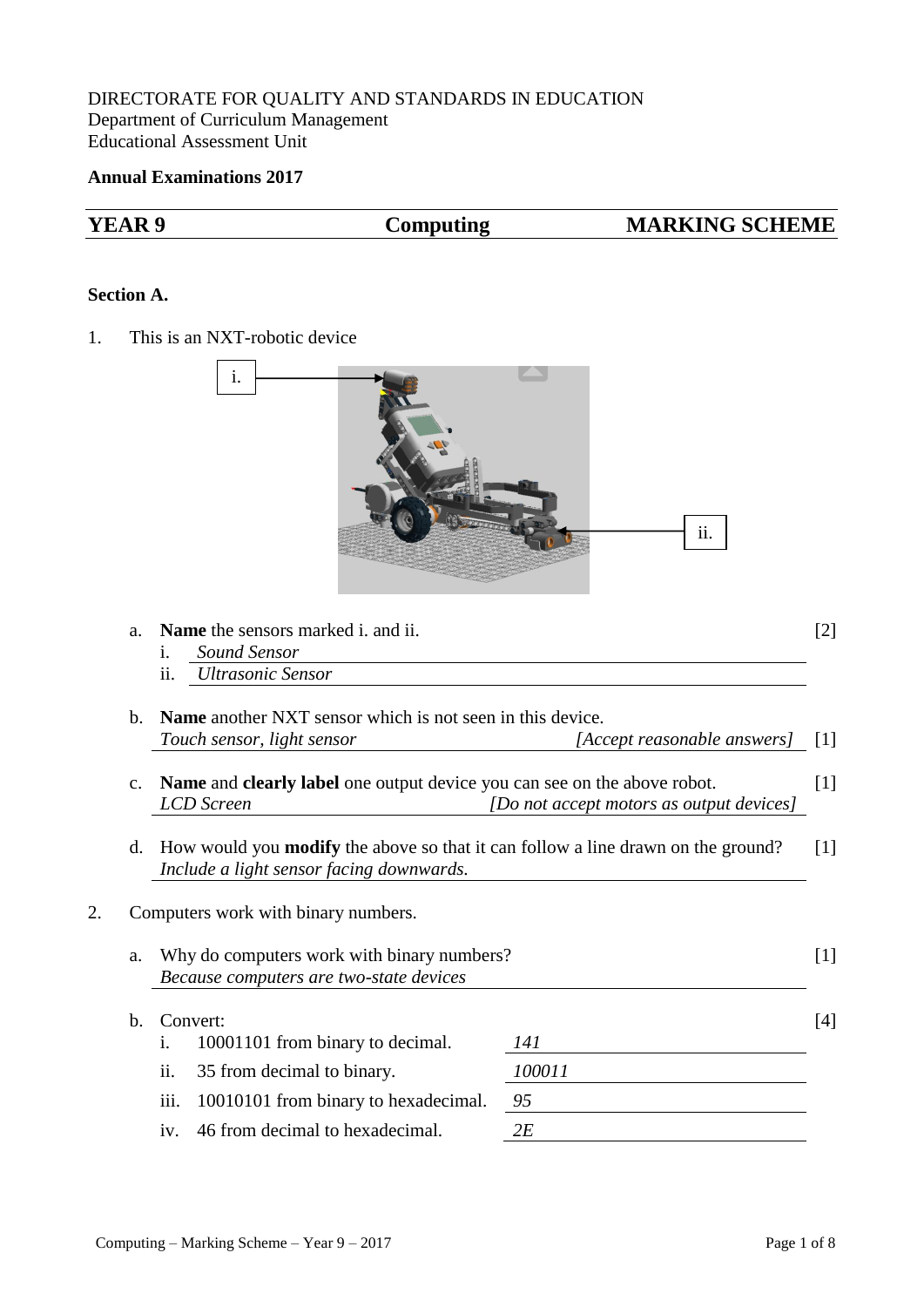## DIRECTORATE FOR QUALITY AND STANDARDS IN EDUCATION Department of Curriculum Management Educational Assessment Unit

## **Annual Examinations 2017**

| <b>YEAR 9</b>     | <b>Computing</b><br><b>MARKING SCHEME</b>                                                                                                       |                             |                   |
|-------------------|-------------------------------------------------------------------------------------------------------------------------------------------------|-----------------------------|-------------------|
| <b>Section A.</b> |                                                                                                                                                 |                             |                   |
| 1.                | This is an NXT-robotic device                                                                                                                   |                             |                   |
|                   | 1.                                                                                                                                              | ii.                         |                   |
| a.                | Name the sensors marked i. and ii.<br>Sound Sensor<br>1.<br><b>Ultrasonic Sensor</b><br>11.                                                     |                             | [2]               |
| $\mathbf{b}$ .    | <b>Name</b> another NXT sensor which is not seen in this device.<br>Touch sensor, light sensor                                                  | [Accept reasonable answers] | $\lceil 1 \rceil$ |
|                   | Name and clearly label one output device you can see on the above robot.<br>c.<br><b>LCD</b> Screen<br>[Do not accept motors as output devices] |                             |                   |
|                   | How would you <b>modify</b> the above so that it can follow a line drawn on the ground?<br>d.<br>Include a light sensor facing downwards.       |                             |                   |
| 2.                | Computers work with binary numbers.                                                                                                             |                             |                   |
| a.                | Why do computers work with binary numbers?<br>Because computers are two-state devices                                                           |                             | $[1]$             |
| $\mathbf{b}$ .    | Convert:<br>10001101 from binary to decimal.<br>$\mathbf{i}$ .                                                                                  | 141                         | $[4]$             |
|                   | ii.<br>35 from decimal to binary.                                                                                                               | 100011                      |                   |
|                   | iii.<br>10010101 from binary to hexadecimal.                                                                                                    | 95                          |                   |
|                   | 46 from decimal to hexadecimal.<br>iv.                                                                                                          | 2E                          |                   |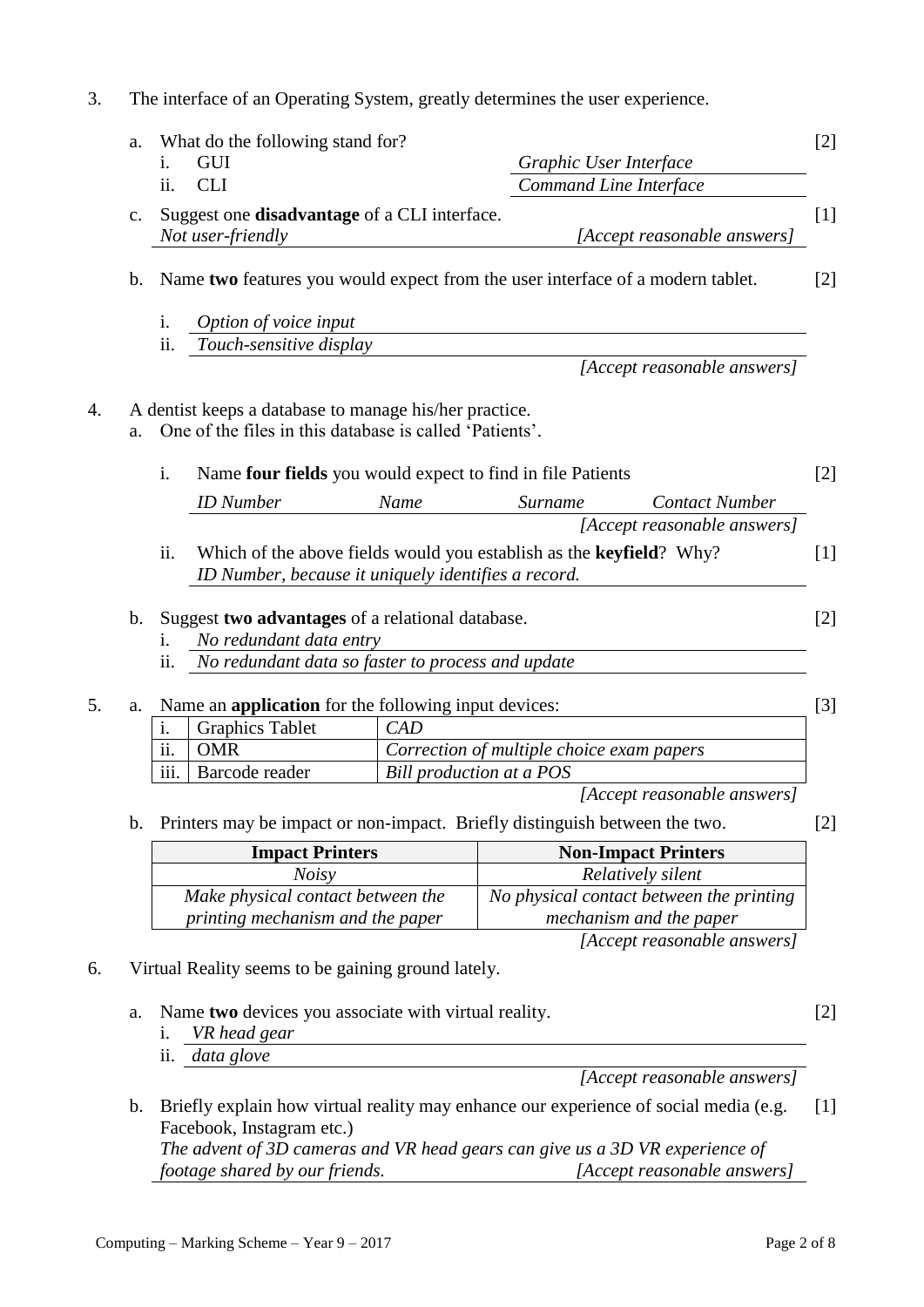|                | GUI<br>i.                                                                                                         |      | Graphic User Interface                                                               |  |  |
|----------------|-------------------------------------------------------------------------------------------------------------------|------|--------------------------------------------------------------------------------------|--|--|
|                | ii.<br><b>CLI</b>                                                                                                 |      | Command Line Interface                                                               |  |  |
| $\mathbf{C}$ . | Suggest one <b>disadvantage</b> of a CLI interface.<br>Not user-friendly                                          |      | [Accept reasonable answers]                                                          |  |  |
|                |                                                                                                                   |      |                                                                                      |  |  |
| $\mathbf b$ .  |                                                                                                                   |      | Name two features you would expect from the user interface of a modern tablet.       |  |  |
|                | i.<br>Option of voice input                                                                                       |      |                                                                                      |  |  |
|                | ii.<br>Touch-sensitive display                                                                                    |      |                                                                                      |  |  |
|                |                                                                                                                   |      | [Accept reasonable answers]                                                          |  |  |
| a.             | A dentist keeps a database to manage his/her practice.<br>One of the files in this database is called 'Patients'. |      |                                                                                      |  |  |
|                | i.                                                                                                                |      | Name four fields you would expect to find in file Patients                           |  |  |
|                | <b>ID</b> Number                                                                                                  | Name | <b>Contact Number</b><br>Surname                                                     |  |  |
|                |                                                                                                                   |      | [Accept reasonable answers]                                                          |  |  |
|                | ii.<br>ID Number, because it uniquely identifies a record.                                                        |      | Which of the above fields would you establish as the <b>keyfield</b> ? Why?          |  |  |
| $\mathbf{b}$ . | Suggest two advantages of a relational database.                                                                  |      |                                                                                      |  |  |
|                | No redundant data entry<br>1.                                                                                     |      |                                                                                      |  |  |
|                | No redundant data so faster to process and update<br>$\overline{\mathbf{11}}$ .                                   |      |                                                                                      |  |  |
| a.             | Name an <b>application</b> for the following input devices:                                                       |      |                                                                                      |  |  |
|                | <b>Graphics Tablet</b><br>i.                                                                                      | CAD  |                                                                                      |  |  |
|                | $\overline{\ddot{\mathbf{u}}}$ .<br><b>OMR</b>                                                                    |      | Correction of multiple choice exam papers                                            |  |  |
|                | $\overline{\text{iii}}$ .<br>Barcode reader                                                                       |      | Bill production at a POS                                                             |  |  |
|                |                                                                                                                   |      | [Accept reasonable answers]                                                          |  |  |
| b.             |                                                                                                                   |      | Printers may be impact or non-impact. Briefly distinguish between the two.           |  |  |
|                | <b>Impact Printers</b>                                                                                            |      | <b>Non-Impact Printers</b>                                                           |  |  |
|                | <b>Noisy</b>                                                                                                      |      | Relatively silent                                                                    |  |  |
|                | Make physical contact between the                                                                                 |      | No physical contact between the printing                                             |  |  |
|                | printing mechanism and the paper                                                                                  |      | mechanism and the paper                                                              |  |  |
|                |                                                                                                                   |      | [Accept reasonable answers]                                                          |  |  |
|                | Virtual Reality seems to be gaining ground lately.                                                                |      |                                                                                      |  |  |
| a.             | Name two devices you associate with virtual reality.<br>VR head gear<br>1.                                        |      |                                                                                      |  |  |
|                | data glove<br>ii.                                                                                                 |      |                                                                                      |  |  |
|                |                                                                                                                   |      | [Accept reasonable answers]                                                          |  |  |
| $\mathbf b$ .  | Facebook, Instagram etc.)                                                                                         |      | Briefly explain how virtual reality may enhance our experience of social media (e.g. |  |  |
|                |                                                                                                                   |      | The advent of 3D cameras and VR head gears can give us a 3D VR experience of         |  |  |
|                | footage shared by our friends.<br>[Accept reasonable answers]                                                     |      |                                                                                      |  |  |

3. The interface of an Operating System, greatly determines the user experience.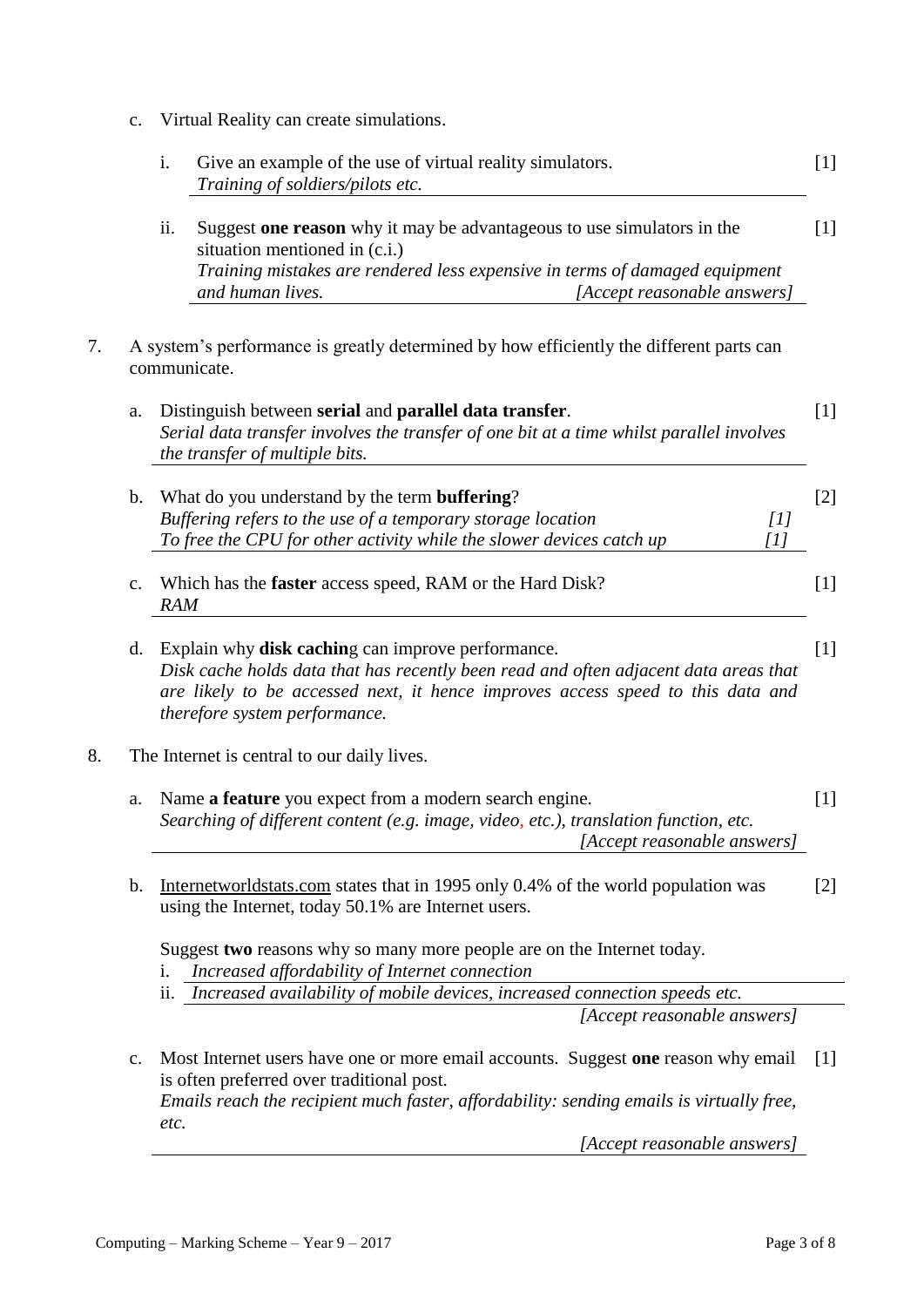c. Virtual Reality can create simulations.

|    |    | i.                                                                                                                                                                                                                                                                            | Give an example of the use of virtual reality simulators.<br>Training of soldiers/pilots etc.                                                                                                                                             | $[1]$ |  |
|----|----|-------------------------------------------------------------------------------------------------------------------------------------------------------------------------------------------------------------------------------------------------------------------------------|-------------------------------------------------------------------------------------------------------------------------------------------------------------------------------------------------------------------------------------------|-------|--|
|    |    | ii.                                                                                                                                                                                                                                                                           | Suggest one reason why it may be advantageous to use simulators in the<br>situation mentioned in (c.i.)<br>Training mistakes are rendered less expensive in terms of damaged equipment<br>and human lives.<br>[Accept reasonable answers] | $[1]$ |  |
| 7. |    |                                                                                                                                                                                                                                                                               | A system's performance is greatly determined by how efficiently the different parts can<br>communicate.                                                                                                                                   |       |  |
|    | a. |                                                                                                                                                                                                                                                                               | Distinguish between serial and parallel data transfer.<br>Serial data transfer involves the transfer of one bit at a time whilst parallel involves<br>the transfer of multiple bits.                                                      | $[1]$ |  |
|    | b. |                                                                                                                                                                                                                                                                               | What do you understand by the term <b>buffering</b> ?<br>Buffering refers to the use of a temporary storage location<br>$[1]$<br>To free the CPU for other activity while the slower devices catch up<br>[1]                              | $[2]$ |  |
|    | c. | Which has the <b>faster</b> access speed, RAM or the Hard Disk?<br>$[1]$<br><b>RAM</b>                                                                                                                                                                                        |                                                                                                                                                                                                                                           |       |  |
|    | d. | Explain why <b>disk caching</b> can improve performance.<br>$[1]$<br>Disk cache holds data that has recently been read and often adjacent data areas that<br>are likely to be accessed next, it hence improves access speed to this data and<br>therefore system performance. |                                                                                                                                                                                                                                           |       |  |
| 8. |    |                                                                                                                                                                                                                                                                               | The Internet is central to our daily lives.                                                                                                                                                                                               |       |  |
|    | a. |                                                                                                                                                                                                                                                                               | Name a feature you expect from a modern search engine.<br>Searching of different content (e.g. image, video, etc.), translation function, etc.<br>[Accept reasonable answers]                                                             | $[1]$ |  |
|    | b. |                                                                                                                                                                                                                                                                               | Internetworldstats.com states that in 1995 only 0.4% of the world population was<br>using the Internet, today 50.1% are Internet users.                                                                                                   | $[2]$ |  |
|    |    | 1.<br>ii.                                                                                                                                                                                                                                                                     | Suggest two reasons why so many more people are on the Internet today.<br>Increased affordability of Internet connection<br>Increased availability of mobile devices, increased connection speeds etc.                                    |       |  |
|    |    |                                                                                                                                                                                                                                                                               | [Accept reasonable answers]                                                                                                                                                                                                               |       |  |
|    | c. | etc.                                                                                                                                                                                                                                                                          | Most Internet users have one or more email accounts. Suggest one reason why email<br>is often preferred over traditional post.<br>Emails reach the recipient much faster, affordability: sending emails is virtually free,                | $[1]$ |  |
|    |    |                                                                                                                                                                                                                                                                               | [Accept reasonable answers]                                                                                                                                                                                                               |       |  |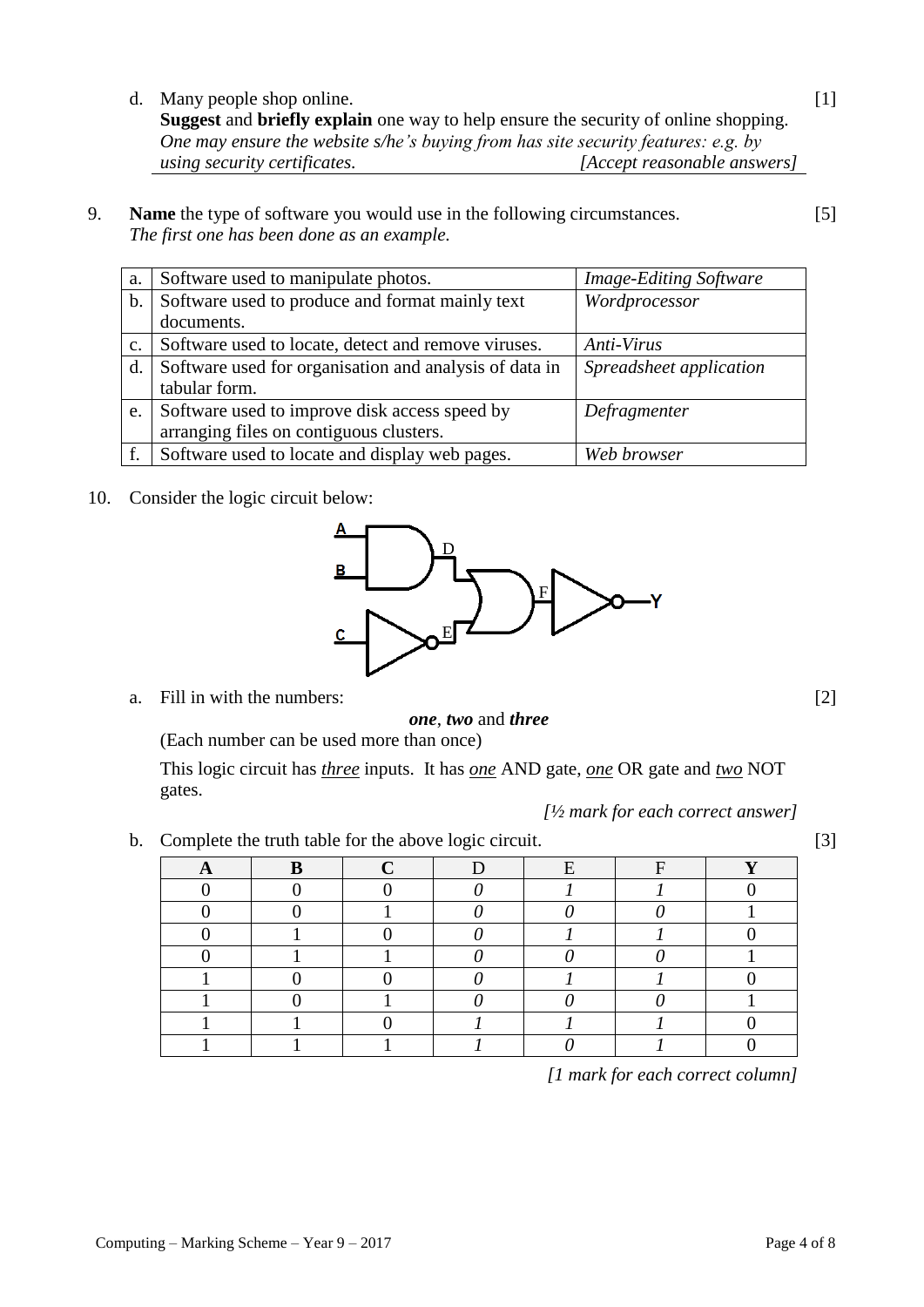d. Many people shop online.

**Suggest** and **briefly explain** one way to help ensure the security of online shopping. *One may ensure the website s/he's buying from has site security features: e.g. by using security certificates. [Accept reasonable answers]*

9. **Name** the type of software you would use in the following circumstances. *The first one has been done as an example.*

| a.             | Software used to manipulate photos.                    | <b>Image-Editing Software</b> |
|----------------|--------------------------------------------------------|-------------------------------|
| $\mathbf{b}$ . | Software used to produce and format mainly text        | Wordprocessor                 |
|                | documents.                                             |                               |
| $C_{\bullet}$  | Software used to locate, detect and remove viruses.    | Anti-Virus                    |
| d.             | Software used for organisation and analysis of data in | Spreadsheet application       |
|                | tabular form.                                          |                               |
| e.             | Software used to improve disk access speed by          | Defragmenter                  |
|                | arranging files on contiguous clusters.                |                               |
|                | Software used to locate and display web pages.         | Web browser                   |

10. Consider the logic circuit below:

a. Fill in with the numbers:



This logic circuit has *three* inputs. It has *one* AND gate, *one* OR gate and *two* NOT gates.

0 0 0 0 *0* 1 1 0 0 0 1 0 0 0 0 1

1 1 1 *1 0 1* 0

*[½ mark for each correct answer]*

- b. Complete the truth table for the above logic circuit. [3]
	- **A B C** D E F **Y**

*[1 mark for each correct column]*

| D<br>B      | $\mathbf{F}$ |
|-------------|--------------|
| $\mathbf c$ |              |
|             |              |

[1]

[2]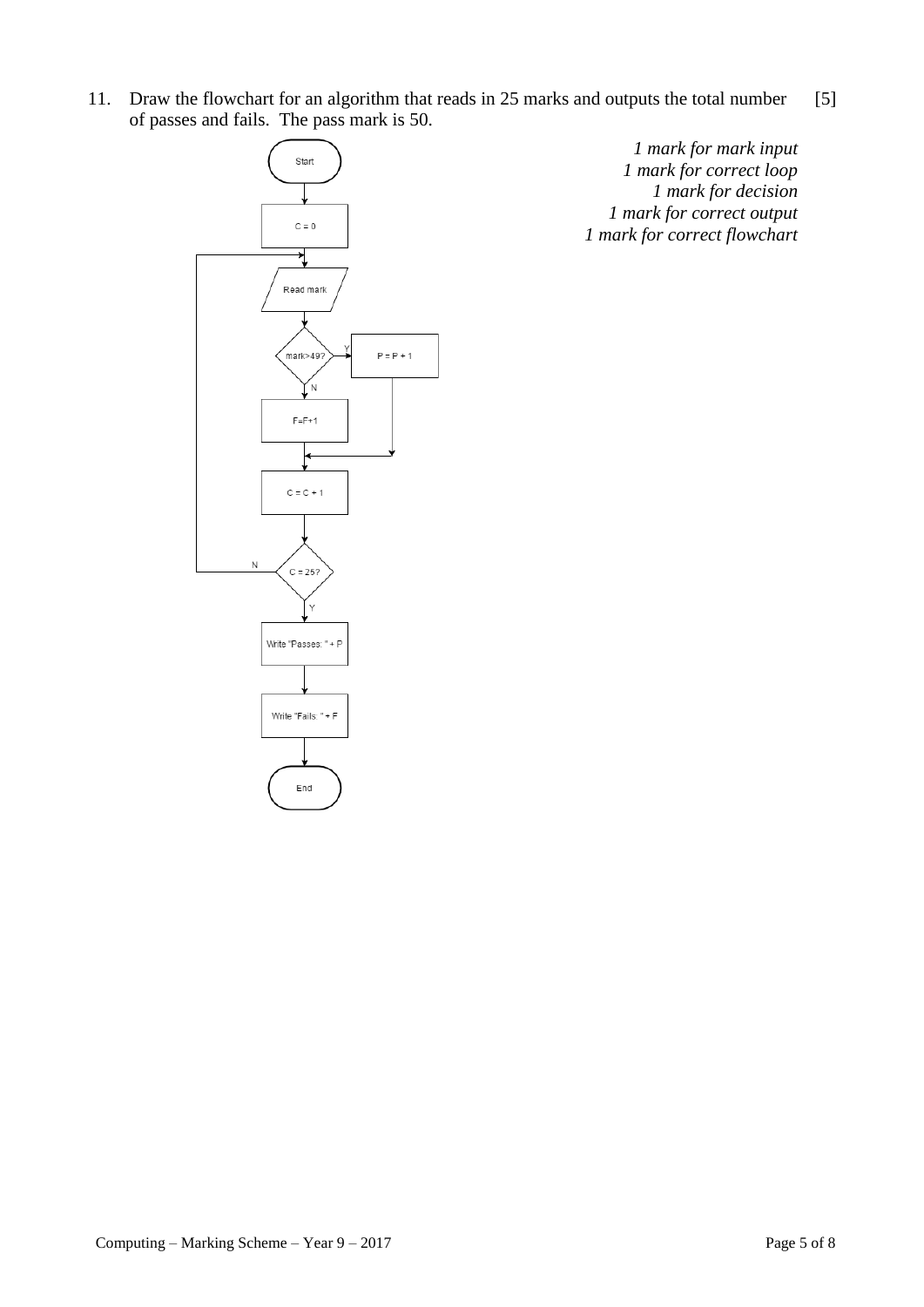11. Draw the flowchart for an algorithm that reads in 25 marks and outputs the total number of passes and fails. The pass mark is 50. [5]



*1 mark for mark input 1 mark for correct loop 1 mark for decision 1 mark for correct output 1 mark for correct flowchart*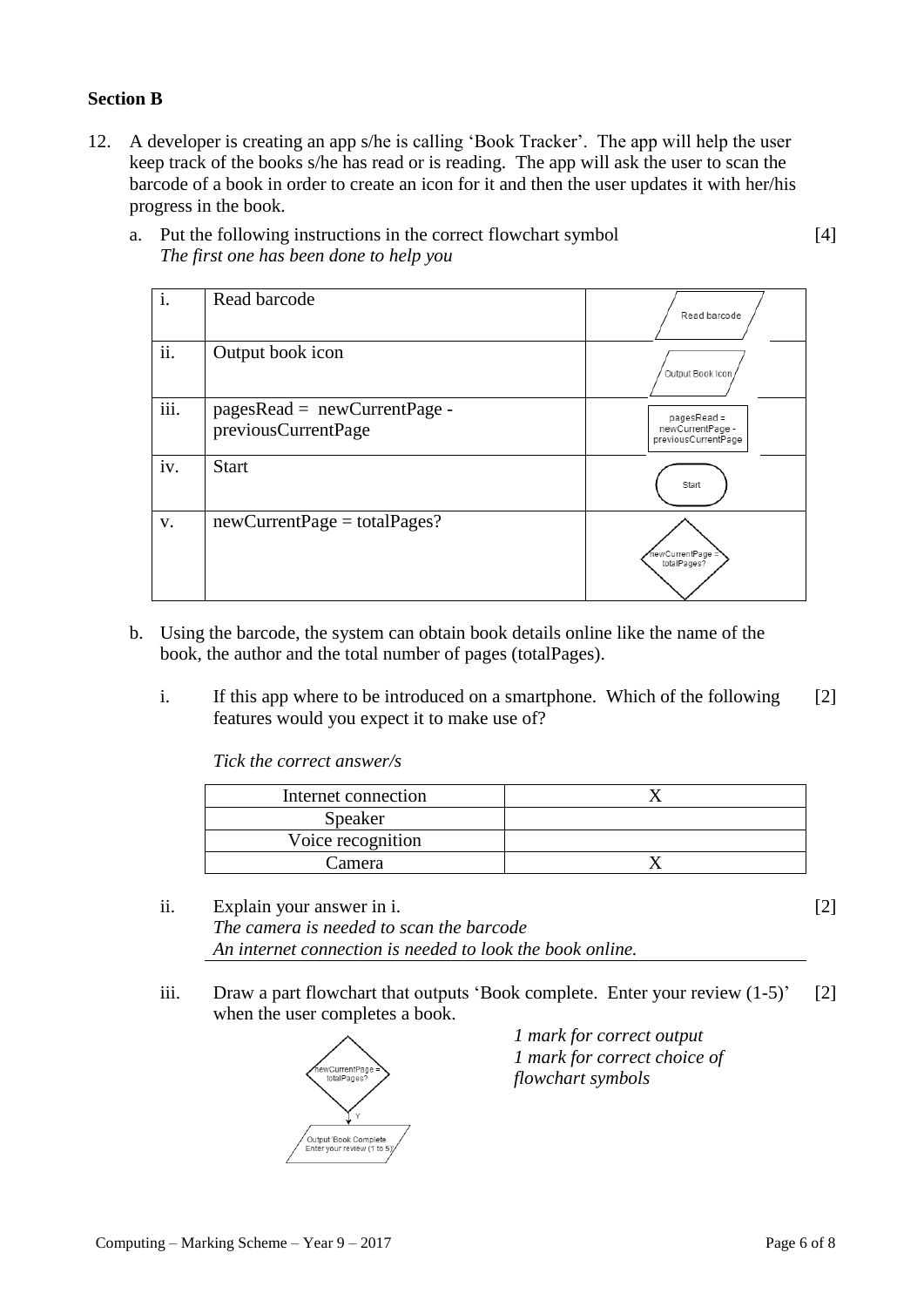## **Section B**

12. A developer is creating an app s/he is calling 'Book Tracker'. The app will help the user keep track of the books s/he has read or is reading. The app will ask the user to scan the barcode of a book in order to create an icon for it and then the user updates it with her/his progress in the book.

| i.                        | Read barcode                                          | Read barcode                                             |
|---------------------------|-------------------------------------------------------|----------------------------------------------------------|
| ii.                       | Output book icon                                      | Output Book Icon                                         |
| $\overline{\text{iii}}$ . | $pagesRead = newCurrentPage -$<br>previousCurrentPage | $pagesRead =$<br>newCurrentPage -<br>previousCurrentPage |
| iv.                       | <b>Start</b>                                          | Start                                                    |
| V.                        | $newCurrentPage = total Pages?$                       | newCurrentPage =<br>totalPages?                          |

a. Put the following instructions in the correct flowchart symbol *The first one has been done to help you*

- b. Using the barcode, the system can obtain book details online like the name of the book, the author and the total number of pages (totalPages).
	- i. If this app where to be introduced on a smartphone. Which of the following features would you expect it to make use of? [2]

*Tick the correct answer/s*

| Internet connection |  |
|---------------------|--|
| Speaker             |  |
| Voice recognition   |  |
| Camera              |  |

- ii. Explain your answer in i. [2] *The camera is needed to scan the barcode An internet connection is needed to look the book online.*
- iii. Draw a part flowchart that outputs 'Book complete. Enter your review (1-5)' when the user completes a book. [2]



*1 mark for correct output 1 mark for correct choice of flowchart symbols*

[4]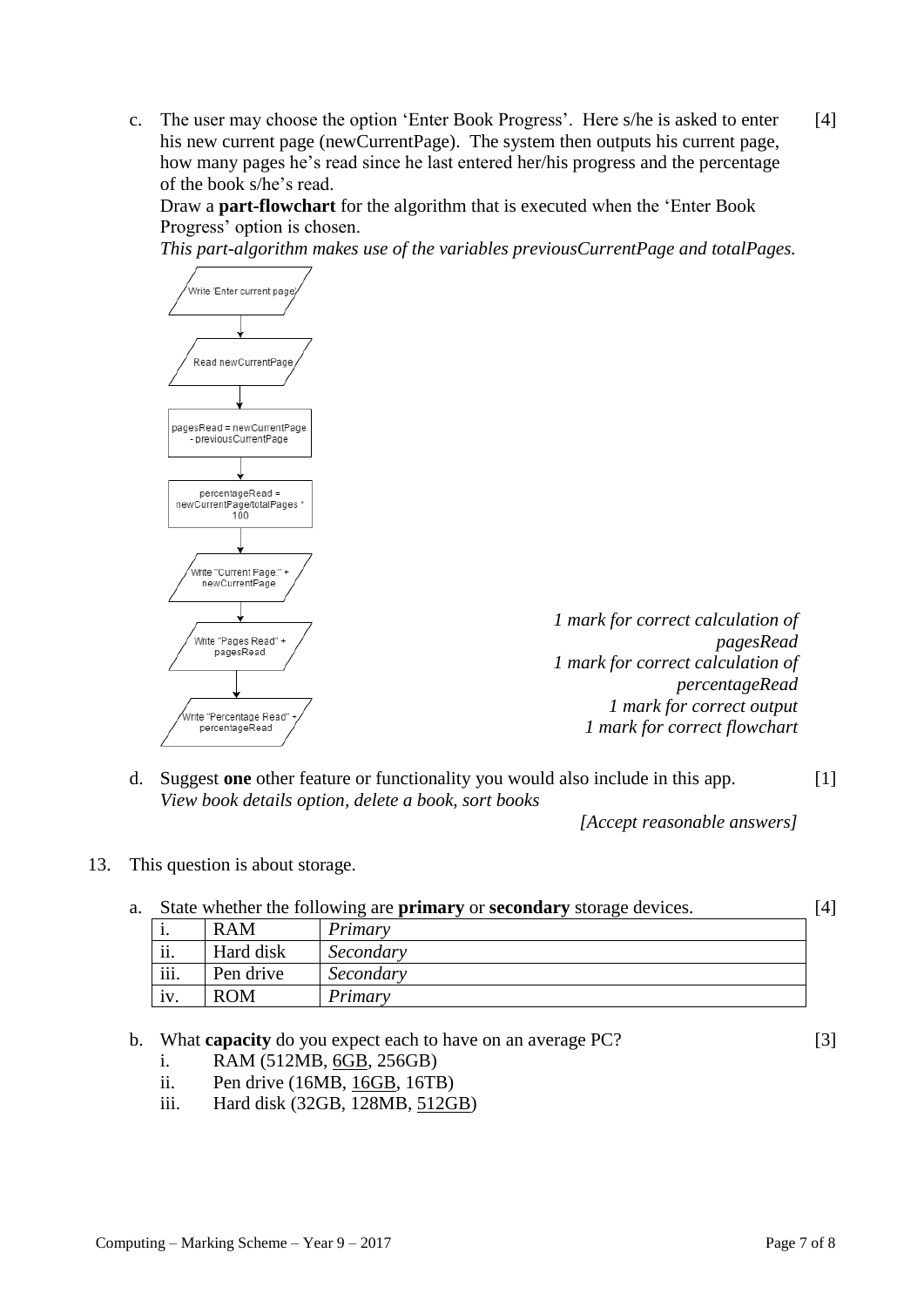c. The user may choose the option 'Enter Book Progress'. Here s/he is asked to enter his new current page (newCurrentPage). The system then outputs his current page, how many pages he's read since he last entered her/his progress and the percentage of the book s/he's read. [4]

Draw a **part-flowchart** for the algorithm that is executed when the 'Enter Book Progress' option is chosen.

*This part-algorithm makes use of the variables previousCurrentPage and totalPages.*



d. Suggest **one** other feature or functionality you would also include in this app. [1] *View book details option, delete a book, sort books*

*[Accept reasonable answers]*

13. This question is about storage.

| a. |      |            | State whether the following are <b>primary</b> or <b>secondary</b> storage devices. | [4] |
|----|------|------------|-------------------------------------------------------------------------------------|-----|
|    | . .  | <b>RAM</b> | Primary                                                                             |     |
|    | ii.  | Hard disk  | Secondary                                                                           |     |
|    | iii. | Pen drive  | Secondary                                                                           |     |
|    | iv.  | <b>ROM</b> | Primary                                                                             |     |

- b. What **capacity** do you expect each to have on an average PC? [3]
	- i. RAM (512MB, 6GB, 256GB)
	- ii. Pen drive (16MB, 16GB, 16TB)
	- iii. Hard disk (32GB, 128MB, 512GB)